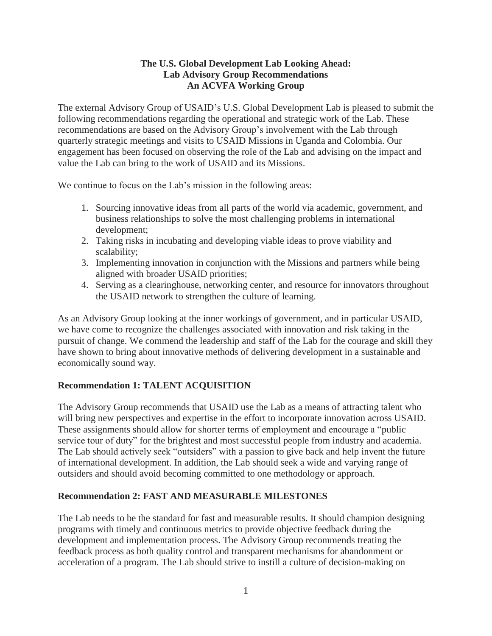#### **The U.S. Global Development Lab Looking Ahead: Lab Advisory Group Recommendations An ACVFA Working Group**

The external Advisory Group of USAID's U.S. Global Development Lab is pleased to submit the following recommendations regarding the operational and strategic work of the Lab. These recommendations are based on the Advisory Group's involvement with the Lab through quarterly strategic meetings and visits to USAID Missions in Uganda and Colombia. Our engagement has been focused on observing the role of the Lab and advising on the impact and value the Lab can bring to the work of USAID and its Missions.

We continue to focus on the Lab's mission in the following areas:

- 1. Sourcing innovative ideas from all parts of the world via academic, government, and business relationships to solve the most challenging problems in international development;
- 2. Taking risks in incubating and developing viable ideas to prove viability and scalability;
- 3. Implementing innovation in conjunction with the Missions and partners while being aligned with broader USAID priorities;
- 4. Serving as a clearinghouse, networking center, and resource for innovators throughout the USAID network to strengthen the culture of learning.

As an Advisory Group looking at the inner workings of government, and in particular USAID, we have come to recognize the challenges associated with innovation and risk taking in the pursuit of change. We commend the leadership and staff of the Lab for the courage and skill they have shown to bring about innovative methods of delivering development in a sustainable and economically sound way.

# **Recommendation 1: TALENT ACQUISITION**

The Advisory Group recommends that USAID use the Lab as a means of attracting talent who will bring new perspectives and expertise in the effort to incorporate innovation across USAID. These assignments should allow for shorter terms of employment and encourage a "public service tour of duty" for the brightest and most successful people from industry and academia. The Lab should actively seek "outsiders" with a passion to give back and help invent the future of international development. In addition, the Lab should seek a wide and varying range of outsiders and should avoid becoming committed to one methodology or approach.

#### **Recommendation 2: FAST AND MEASURABLE MILESTONES**

The Lab needs to be the standard for fast and measurable results. It should champion designing programs with timely and continuous metrics to provide objective feedback during the development and implementation process. The Advisory Group recommends treating the feedback process as both quality control and transparent mechanisms for abandonment or acceleration of a program. The Lab should strive to instill a culture of decision-making on